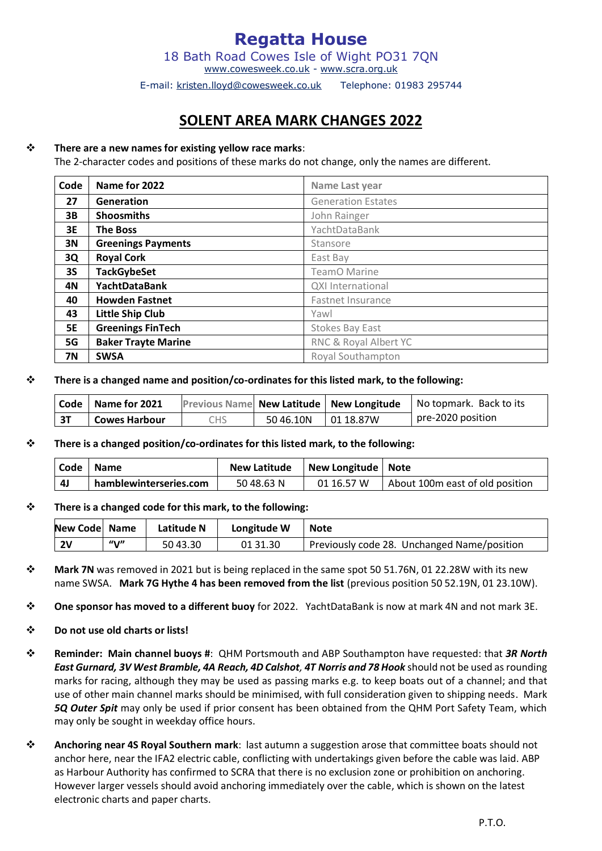**Regatta House**  18 Bath Road Cowes Isle of Wight PO31 7QN

[www.cowesweek.co.uk](http://www.cowesweek.co.uk/) - [www.scra.org.uk](http://www.scra.org.uk/)

E-mail: kristen.lloyd@cowesweek.co.uk Telephone: 01983 295744

# **SOLENT AREA MARK CHANGES 2022**

### ❖ **There are a new names for existing yellow race marks**:

The 2-character codes and positions of these marks do not change, only the names are different.

| Code      | Name for 2022              | Name Last year            |  |
|-----------|----------------------------|---------------------------|--|
| 27        | Generation                 | <b>Generation Estates</b> |  |
| 3B        | <b>Shoosmiths</b>          | John Rainger              |  |
| 3E        | <b>The Boss</b>            | YachtDataBank             |  |
| 3N        | <b>Greenings Payments</b>  | Stansore                  |  |
| 3Q        | <b>Royal Cork</b>          | East Bay                  |  |
| <b>3S</b> | <b>TackGybeSet</b>         | TeamO Marine              |  |
| 4N        | <b>YachtDataBank</b>       | <b>QXI</b> International  |  |
| 40        | <b>Howden Fastnet</b>      | <b>Fastnet Insurance</b>  |  |
| 43        | <b>Little Ship Club</b>    | Yawl                      |  |
| <b>5E</b> | <b>Greenings FinTech</b>   | <b>Stokes Bay East</b>    |  |
| 5G        | <b>Baker Trayte Marine</b> | RNC & Royal Albert YC     |  |
| 7Ν        | <b>SWSA</b>                | Royal Southampton         |  |

❖ **There is a changed name and position/co-ordinates for this listed mark, to the following:** 

|    | Code   Name for 2021 |     |                    | Previous Name New Latitude   New Longitude   No topmark. Back to its |
|----|----------------------|-----|--------------------|----------------------------------------------------------------------|
| 3T | <b>Cowes Harbour</b> | CHS | 5046.10N 01 18.87W | pre-2020 position                                                    |

#### ❖ **There is a changed position/co-ordinates for this listed mark, to the following:**

| <b>Code</b> | <b>Name</b>            | <b>New Latitude</b> | New Longitude   Note |                                 |
|-------------|------------------------|---------------------|----------------------|---------------------------------|
| - 41        | hamblewinterseries.com | 5048.63 N           | 01 16.57 W           | About 100m east of old position |

#### ❖ **There is a changed code for this mark, to the following:**

| New Code Name |         | Latitude N | Longitude W | <b>Note</b>                                 |
|---------------|---------|------------|-------------|---------------------------------------------|
| <b>2V</b>     | " $V''$ | 50 43.30   | 01 31.30    | Previously code 28. Unchanged Name/position |

- ❖ **Mark 7N** was removed in 2021 but is being replaced in the same spot 50 51.76N, 01 22.28W with its new name SWSA. **Mark 7G Hythe 4 has been removed from the list** (previous position 50 52.19N, 01 23.10W).
- ❖ **One sponsor has moved to a different buoy** for 2022. YachtDataBank is now at mark 4N and not mark 3E.
- ❖ **Do not use old charts or lists!**
- ❖ **Reminder: Main channel buoys #**: QHM Portsmouth and ABP Southampton have requested: that *3R North East Gurnard, 3V West Bramble, 4A Reach, 4D Calshot, 4T Norris and 78 Hook* should not be used as rounding marks for racing, although they may be used as passing marks e.g. to keep boats out of a channel; and that use of other main channel marks should be minimised, with full consideration given to shipping needs. Mark *5Q Outer Spit* may only be used if prior consent has been obtained from the QHM Port Safety Team, which may only be sought in weekday office hours.
- ❖ **Anchoring near 4S Royal Southern mark**: last autumn a suggestion arose that committee boats should not anchor here, near the IFA2 electric cable, conflicting with undertakings given before the cable was laid. ABP as Harbour Authority has confirmed to SCRA that there is no exclusion zone or prohibition on anchoring. However larger vessels should avoid anchoring immediately over the cable, which is shown on the latest electronic charts and paper charts.